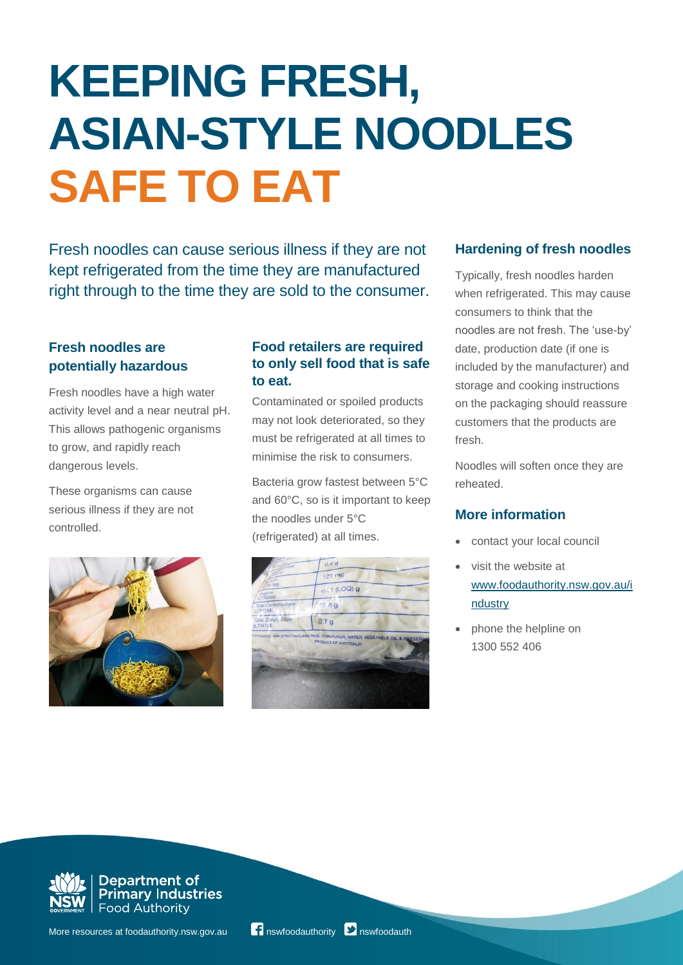# **KEEPING FRESH, ASIAN-STYLE NOODLES SAFE TO EAT**

Fresh noodles can cause serious illness if they are not kept refrigerated from the time they are manufactured right through to the time they are sold to the consumer.

### **Fresh noodles are potentially hazardous**

Fresh noodles have a high water activity level and a near neutral pH. This allows pathogenic organisms to grow, and rapidly reach dangerous levels.

These organisms can cause serious illness if they are not controlled.



### **Food retailers are required to only sell food that is safe to eat.**

Contaminated or spoiled products may not look deteriorated, so they must be refrigerated at all times to minimise the risk to consumers.

Bacteria grow fastest between 5°C and 60°C, so is it important to keep the noodles under 5°C (refrigerated) at all times.



## **Hardening of fresh noodles**

Typically, fresh noodles harden when refrigerated. This may cause consumers to think that the noodles are not fresh. The 'use-by' date, production date (if one is included by the manufacturer) and storage and cooking instructions on the packaging should reassure customers that the products are fresh.

Noodles will soften once they are reheated.

## **More information**

- contact your local council
- visit the website at [www.foodauthority.nsw.gov.au/i](http://www.foodauthority.nsw.gov.au/industry) [ndustry](http://www.foodauthority.nsw.gov.au/industry)
- phone the helpline on 1300 552 406



**Department of Primary Industries Food Authority**